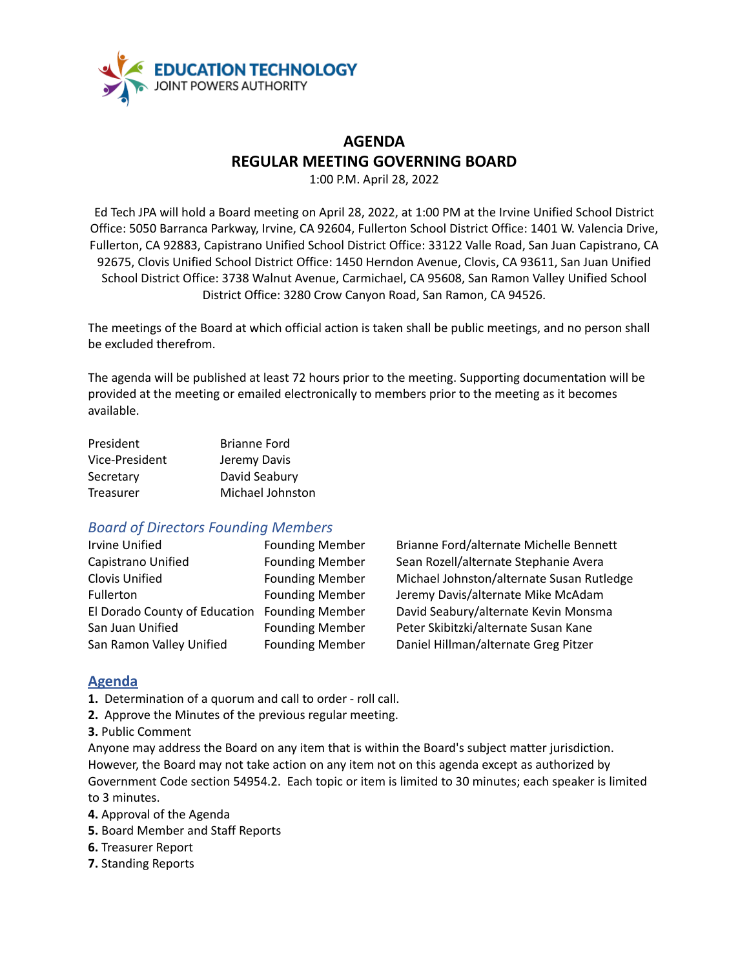

# **AGENDA REGULAR MEETING GOVERNING BOARD**

1:00 P.M. April 28, 2022

Ed Tech JPA will hold a Board meeting on April 28, 2022, at 1:00 PM at the Irvine Unified School District Office: 5050 Barranca Parkway, Irvine, CA 92604, Fullerton School District Office: 1401 W. Valencia Drive, Fullerton, CA 92883, Capistrano Unified School District Office: 33122 Valle Road, San Juan Capistrano, CA 92675, Clovis Unified School District Office: 1450 Herndon Avenue, Clovis, CA 93611, San Juan Unified School District Office: 3738 Walnut Avenue, Carmichael, CA 95608, San Ramon Valley Unified School District Office: 3280 Crow Canyon Road, San Ramon, CA 94526.

The meetings of the Board at which official action is taken shall be public meetings, and no person shall be excluded therefrom.

The agenda will be published at least 72 hours prior to the meeting. Supporting documentation will be provided at the meeting or emailed electronically to members prior to the meeting as it becomes available.

| President      | <b>Brianne Ford</b> |
|----------------|---------------------|
| Vice-President | Jeremy Davis        |
| Secretary      | David Seabury       |
| Treasurer      | Michael Johnston    |

## *Board of Directors Founding Members*

| <b>Founding Member</b>                        | Brianne Ford/a   |
|-----------------------------------------------|------------------|
| <b>Founding Member</b>                        | Sean Rozell/alt  |
| <b>Founding Member</b>                        | Michael Johnst   |
| <b>Founding Member</b>                        | Jeremy Davis/a   |
| El Dorado County of Education Founding Member | David Seabury,   |
| <b>Founding Member</b>                        | Peter Skibitzki/ |
| <b>Founding Member</b>                        | Daniel Hillman   |
|                                               |                  |

alternate Michelle Bennett ternate Stephanie Avera ton/alternate Susan Rutledge alternate Mike McAdam /alternate Kevin Monsma /alternate Susan Kane /alternate Greg Pitzer

## **Agenda**

- **1.** Determination of a quorum and call to order roll call.
- **2.** Approve the Minutes of the previous regular meeting.
- **3.** Public Comment

Anyone may address the Board on any item that is within the Board's subject matter jurisdiction. However, the Board may not take action on any item not on this agenda except as authorized by Government Code section 54954.2. Each topic or item is limited to 30 minutes; each speaker is limited to 3 minutes.

- **4.** Approval of the Agenda
- **5.** Board Member and Staff Reports
- **6.** Treasurer Report
- **7.** Standing Reports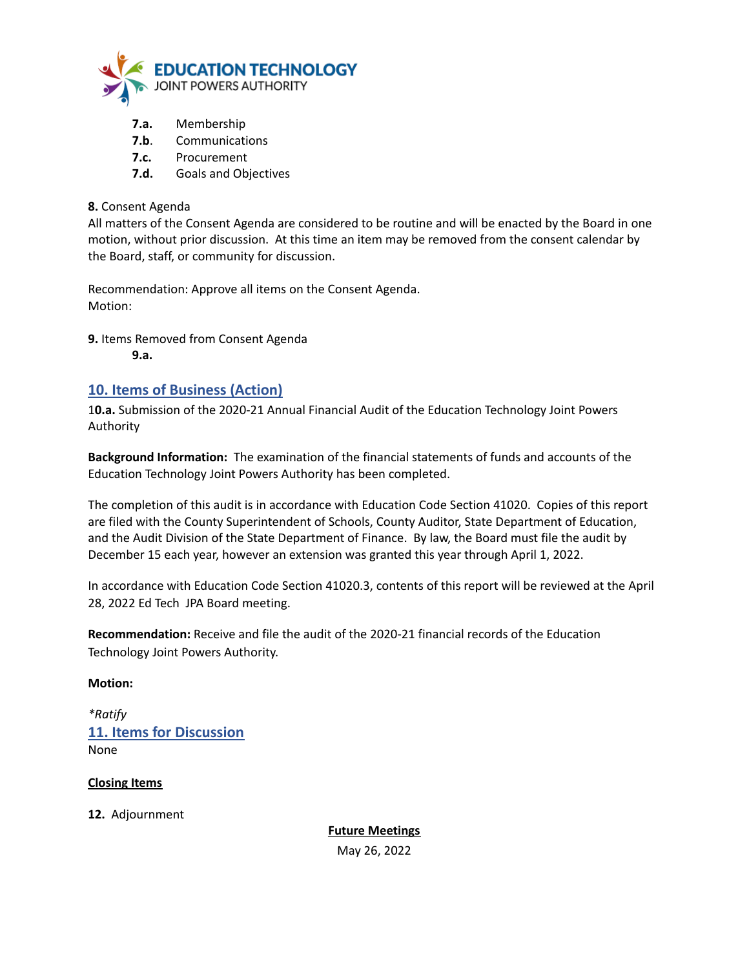

- **7.a.** Membership
- **7.b**. Communications
- **7.c.** Procurement
- **7.d.** Goals and Objectives

#### **8.** Consent Agenda

All matters of the Consent Agenda are considered to be routine and will be enacted by the Board in one motion, without prior discussion. At this time an item may be removed from the consent calendar by the Board, staff, or community for discussion.

Recommendation: Approve all items on the Consent Agenda. Motion:

**9.** Items Removed from Consent Agenda

**9.a.**

## **10. Items of Business (Action)**

1**0.a.** Submission of the 2020-21 Annual Financial Audit of the Education Technology Joint Powers Authority

**Background Information:** The examination of the financial statements of funds and accounts of the Education Technology Joint Powers Authority has been completed.

The completion of this audit is in accordance with Education Code Section 41020. Copies of this report are filed with the County Superintendent of Schools, County Auditor, State Department of Education, and the Audit Division of the State Department of Finance. By law, the Board must file the audit by December 15 each year, however an extension was granted this year through April 1, 2022.

In accordance with Education Code Section 41020.3, contents of this report will be reviewed at the April 28, 2022 Ed Tech JPA Board meeting.

**Recommendation:** Receive and file the audit of the 2020-21 financial records of the Education Technology Joint Powers Authority.

#### **Motion:**

*\*Ratify* **11. Items for Discussion** None

#### **Closing Items**

**12.** Adjournment

**Future Meetings** May 26, 2022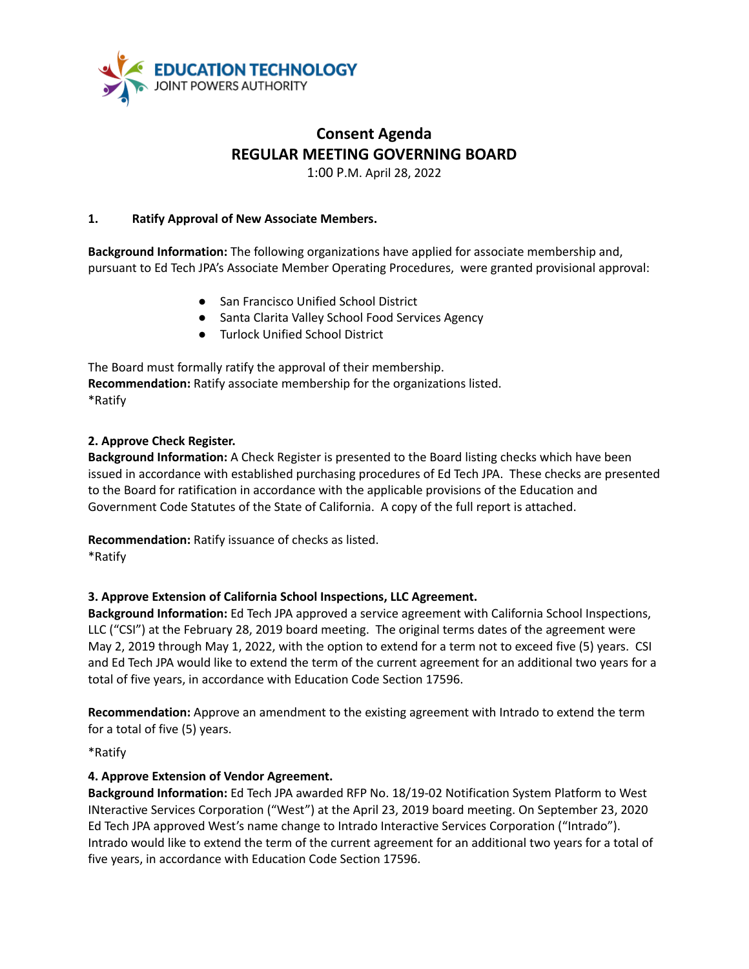

# **Consent Agenda REGULAR MEETING GOVERNING BOARD**

1:00 P.M. April 28, 2022

#### **1. Ratify Approval of New Associate Members.**

**Background Information:** The following organizations have applied for associate membership and, pursuant to Ed Tech JPA's Associate Member Operating Procedures, were granted provisional approval:

- San Francisco Unified School District
- Santa Clarita Valley School Food Services Agency
- Turlock Unified School District

The Board must formally ratify the approval of their membership. **Recommendation:** Ratify associate membership for the organizations listed. \*Ratify

#### **2. Approve Check Register.**

**Background Information:** A Check Register is presented to the Board listing checks which have been issued in accordance with established purchasing procedures of Ed Tech JPA. These checks are presented to the Board for ratification in accordance with the applicable provisions of the Education and Government Code Statutes of the State of California. A copy of the full report is attached.

**Recommendation:** Ratify issuance of checks as listed.

\*Ratify

## **3. Approve Extension of California School Inspections, LLC Agreement.**

**Background Information:** Ed Tech JPA approved a service agreement with California School Inspections, LLC ("CSI") at the February 28, 2019 board meeting. The original terms dates of the agreement were May 2, 2019 through May 1, 2022, with the option to extend for a term not to exceed five (5) years. CSI and Ed Tech JPA would like to extend the term of the current agreement for an additional two years for a total of five years, in accordance with Education Code Section 17596.

**Recommendation:** Approve an amendment to the existing agreement with Intrado to extend the term for a total of five (5) years.

\*Ratify

#### **4. Approve Extension of Vendor Agreement.**

**Background Information:** Ed Tech JPA awarded RFP No. 18/19-02 Notification System Platform to West INteractive Services Corporation ("West") at the April 23, 2019 board meeting. On September 23, 2020 Ed Tech JPA approved West's name change to Intrado Interactive Services Corporation ("Intrado"). Intrado would like to extend the term of the current agreement for an additional two years for a total of five years, in accordance with Education Code Section 17596.